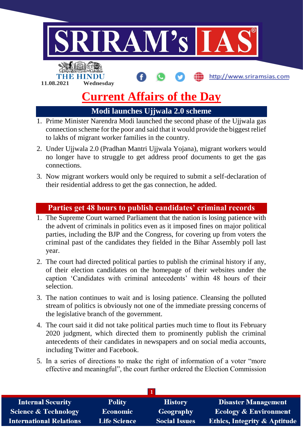

## **Modi launches Ujjwala 2.0 scheme**

- 1. Prime Minister Narendra Modi launched the second phase of the Ujjwala gas connection scheme for the poor and said that it would provide the biggest relief to lakhs of migrant worker families in the country.
- 2. Under Ujjwala 2.0 (Pradhan Mantri Ujjwala Yojana), migrant workers would no longer have to struggle to get address proof documents to get the gas connections.
- 3. Now migrant workers would only be required to submit a self-declaration of their residential address to get the gas connection, he added.

## **Parties get 48 hours to publish candidates' criminal records**

- 1. The Supreme Court warned Parliament that the nation is losing patience with the advent of criminals in politics even as it imposed fines on major political parties, including the BJP and the Congress, for covering up from voters the criminal past of the candidates they fielded in the Bihar Assembly poll last year.
- 2. The court had directed political parties to publish the criminal history if any, of their election candidates on the homepage of their websites under the caption 'Candidates with criminal antecedents' within 48 hours of their selection.
- 3. The nation continues to wait and is losing patience. Cleansing the polluted stream of politics is obviously not one of the immediate pressing concerns of the legislative branch of the government.
- 4. The court said it did not take political parties much time to flout its February 2020 judgment, which directed them to prominently publish the criminal antecedents of their candidates in newspapers and on social media accounts, including Twitter and Facebook.
- 5. In a series of directions to make the right of information of a voter "more effective and meaningful", the court further ordered the Election Commission

| <b>Internal Security</b>        | <b>Polity</b>       | <b>History</b>       | <b>Disaster Management</b>              |
|---------------------------------|---------------------|----------------------|-----------------------------------------|
| <b>Science &amp; Technology</b> | <b>Economic</b>     | <b>Geography</b>     | <b>Ecology &amp; Environment</b>        |
| <b>International Relations</b>  | <b>Life Science</b> | <b>Social Issues</b> | <b>Ethics, Integrity &amp; Aptitude</b> |